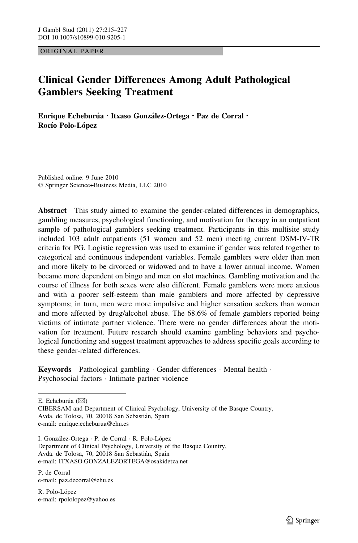ORIGINAL PAPER

# Clinical Gender Differences Among Adult Pathological Gamblers Seeking Treatment

Enrique Echeburúa · Itxaso González-Ortega · Paz de Corral · Rocío Polo-López

Published online: 9 June 2010 - Springer Science+Business Media, LLC 2010

Abstract This study aimed to examine the gender-related differences in demographics, gambling measures, psychological functioning, and motivation for therapy in an outpatient sample of pathological gamblers seeking treatment. Participants in this multisite study included 103 adult outpatients (51 women and 52 men) meeting current DSM-IV-TR criteria for PG. Logistic regression was used to examine if gender was related together to categorical and continuous independent variables. Female gamblers were older than men and more likely to be divorced or widowed and to have a lower annual income. Women became more dependent on bingo and men on slot machines. Gambling motivation and the course of illness for both sexes were also different. Female gamblers were more anxious and with a poorer self-esteem than male gamblers and more affected by depressive symptoms; in turn, men were more impulsive and higher sensation seekers than women and more affected by drug/alcohol abuse. The 68.6% of female gamblers reported being victims of intimate partner violence. There were no gender differences about the motivation for treatment. Future research should examine gambling behaviors and psychological functioning and suggest treatment approaches to address specific goals according to these gender-related differences.

Keywords Pathological gambling · Gender differences · Mental health · Psychosocial factors - Intimate partner violence

E. Echeburúa ( $\boxtimes$ )

CIBERSAM and Department of Clinical Psychology, University of the Basque Country, Avda. de Tolosa, 70, 20018 San Sebastián, Spain e-mail: enrique.echeburua@ehu.es

I. González-Ortega · P. de Corral · R. Polo-López Department of Clinical Psychology, University of the Basque Country, Avda. de Tolosa, 70, 20018 San Sebastián, Spain e-mail: ITXASO.GONZALEZORTEGA@osakidetza.net

P. de Corral e-mail: paz.decorral@ehu.es

R. Polo-López e-mail: rpololopez@yahoo.es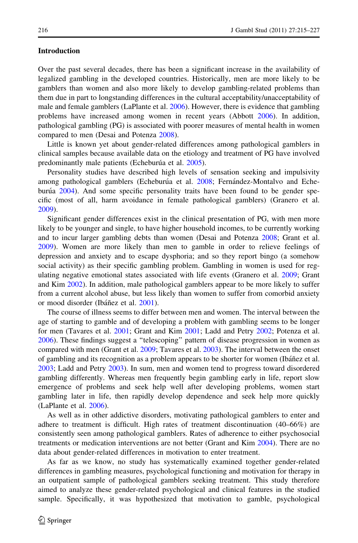### Introduction

Over the past several decades, there has been a significant increase in the availability of legalized gambling in the developed countries. Historically, men are more likely to be gamblers than women and also more likely to develop gambling-related problems than them due in part to longstanding differences in the cultural acceptability/unacceptability of male and female gamblers (LaPlante et al. [2006](#page-11-0)). However, there is evidence that gambling problems have increased among women in recent years (Abbott [2006](#page-10-0)). In addition, pathological gambling (PG) is associated with poorer measures of mental health in women compared to men (Desai and Potenza [2008](#page-10-0)).

Little is known yet about gender-related differences among pathological gamblers in clinical samples because available data on the etiology and treatment of PG have involved predominantly male patients (Echeburúa et al. [2005\)](#page-10-0).

Personality studies have described high levels of sensation seeking and impulsivity among pathological gamblers (Echeburúa et al. [2008;](#page-10-0) Fernández-Montalvo and Echeburúa  $2004$ ). And some specific personality traits have been found to be gender specific (most of all, harm avoidance in female pathological gamblers) (Granero et al. [2009\)](#page-10-0).

Significant gender differences exist in the clinical presentation of PG, with men more likely to be younger and single, to have higher household incomes, to be currently working and to incur larger gambling debts than women (Desai and Potenza [2008](#page-10-0); Grant et al. [2009\)](#page-10-0). Women are more likely than men to gamble in order to relieve feelings of depression and anxiety and to escape dysphoria; and so they report bingo (a somehow social activity) as their specific gambling problem. Gambling in women is used for regulating negative emotional states associated with life events (Granero et al. [2009;](#page-10-0) Grant and Kim [2002](#page-10-0)). In addition, male pathological gamblers appear to be more likely to suffer from a current alcohol abuse, but less likely than women to suffer from comorbid anxiety or mood disorder (Ibáñez et al. [2001\)](#page-10-0).

The course of illness seems to differ between men and women. The interval between the age of starting to gamble and of developing a problem with gambling seems to be longer for men (Tavares et al. [2001;](#page-11-0) Grant and Kim [2001;](#page-10-0) Ladd and Petry [2002;](#page-11-0) Potenza et al. [2006\)](#page-11-0). These findings suggest a ''telescoping'' pattern of disease progression in women as compared with men (Grant et al. [2009](#page-10-0); Tavares et al. [2003](#page-11-0)). The interval between the onset of gambling and its recognition as a problem appears to be shorter for women (Ibáñez et al. [2003;](#page-10-0) Ladd and Petry [2003](#page-11-0)). In sum, men and women tend to progress toward disordered gambling differently. Whereas men frequently begin gambling early in life, report slow emergence of problems and seek help well after developing problems, women start gambling later in life, then rapidly develop dependence and seek help more quickly (LaPlante et al. [2006](#page-11-0)).

As well as in other addictive disorders, motivating pathological gamblers to enter and adhere to treatment is difficult. High rates of treatment discontinuation (40–66%) are consistently seen among pathological gamblers. Rates of adherence to either psychosocial treatments or medication interventions are not better (Grant and Kim [2004](#page-10-0)). There are no data about gender-related differences in motivation to enter treatment.

As far as we know, no study has systematically examined together gender-related differences in gambling measures, psychological functioning and motivation for therapy in an outpatient sample of pathological gamblers seeking treatment. This study therefore aimed to analyze these gender-related psychological and clinical features in the studied sample. Specifically, it was hypothesized that motivation to gamble, psychological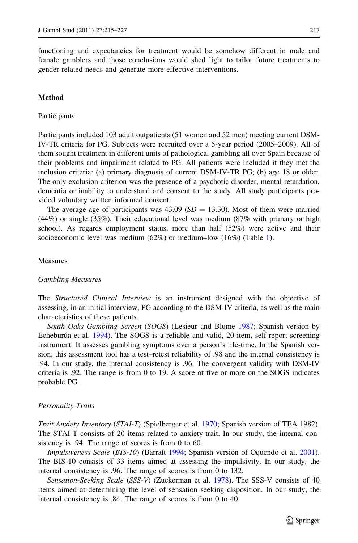functioning and expectancies for treatment would be somehow different in male and female gamblers and those conclusions would shed light to tailor future treatments to gender-related needs and generate more effective interventions.

### Method

### Participants

Participants included 103 adult outpatients (51 women and 52 men) meeting current DSM-IV-TR criteria for PG. Subjects were recruited over a 5-year period (2005–2009). All of them sought treatment in different units of pathological gambling all over Spain because of their problems and impairment related to PG. All patients were included if they met the inclusion criteria: (a) primary diagnosis of current DSM-IV-TR PG; (b) age 18 or older. The only exclusion criterion was the presence of a psychotic disorder, mental retardation, dementia or inability to understand and consent to the study. All study participants provided voluntary written informed consent.

The average age of participants was 43.09 ( $SD = 13.30$ ). Most of them were married (44%) or single (35%). Their educational level was medium (87% with primary or high school). As regards employment status, more than half (52%) were active and their socioeconomic level was medium (62%) or medium–low (16%) (Table [1](#page-3-0)).

### Measures

#### Gambling Measures

The *Structured Clinical Interview* is an instrument designed with the objective of assessing, in an initial interview, PG according to the DSM-IV criteria, as well as the main characteristics of these patients.

South Oaks Gambling Screen (SOGS) (Lesieur and Blume [1987](#page-11-0); Spanish version by Echeburúa et al. [1994\)](#page-10-0). The SOGS is a reliable and valid, 20-item, self-report screening instrument. It assesses gambling symptoms over a person's life-time. In the Spanish version, this assessment tool has a test–retest reliability of .98 and the internal consistency is .94. In our study, the internal consistency is .96. The convergent validity with DSM-IV criteria is .92. The range is from 0 to 19. A score of five or more on the SOGS indicates probable PG.

#### Personality Traits

Trait Anxiety Inventory (STAI-T) (Spielberger et al. [1970;](#page-11-0) Spanish version of TEA 1982). The STAI-T consists of 20 items related to anxiety-trait. In our study, the internal consistency is .94. The range of scores is from 0 to 60.

Impulsiveness Scale (BIS-10) (Barratt [1994](#page-10-0); Spanish version of Oquendo et al. [2001](#page-11-0)). The BIS-10 consists of 33 items aimed at assessing the impulsivity. In our study, the internal consistency is .96. The range of scores is from 0 to 132.

Sensation-Seeking Scale (SSS-V) (Zuckerman et al. [1978](#page-12-0)). The SSS-V consists of 40 items aimed at determining the level of sensation seeking disposition. In our study, the internal consistency is .84. The range of scores is from 0 to 40.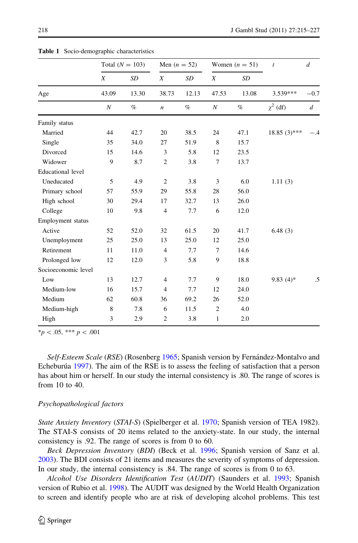|                          | Total $(N = 103)$ |       | Men $(n = 52)$   |       | Women $(n = 51)$ |       | $\boldsymbol{t}$ | $\boldsymbol{d}$ |
|--------------------------|-------------------|-------|------------------|-------|------------------|-------|------------------|------------------|
|                          | X                 | SD    | X                | SD    | X                | SD    |                  |                  |
| Age                      | 43.09             | 13.30 | 38.73            | 12.13 | 47.53            | 13.08 | 3.539***         | $-0.7$           |
|                          | N                 | $\%$  | $\boldsymbol{n}$ | $\%$  | N                | $\%$  | $\chi^2$ (df)    | $\boldsymbol{d}$ |
| Family status            |                   |       |                  |       |                  |       |                  |                  |
| Married                  | 44                | 42.7  | 20               | 38.5  | 24               | 47.1  | $18.85(3)$ ***   | - 4              |
| Single                   | 35                | 34.0  | 27               | 51.9  | 8                | 15.7  |                  |                  |
| Divorced                 | 15                | 14.6  | 3                | 5.8   | 12               | 23.5  |                  |                  |
| Widower                  | 9                 | 8.7   | $\mathfrak{2}$   | 3.8   | 7                | 13.7  |                  |                  |
| <b>Educational</b> level |                   |       |                  |       |                  |       |                  |                  |
| Uneducated               | 5                 | 4.9   | $\overline{2}$   | 3.8   | 3                | 6.0   | 1.11(3)          |                  |
| Primary school           | 57                | 55.9  | 29               | 55.8  | 28               | 56.0  |                  |                  |
| High school              | 30                | 29.4  | 17               | 32.7  | 13               | 26.0  |                  |                  |
| College                  | 10                | 9.8   | $\overline{4}$   | 7.7   | 6                | 12.0  |                  |                  |
| Employment status        |                   |       |                  |       |                  |       |                  |                  |
| Active                   | 52                | 52.0  | 32               | 61.5  | 20               | 41.7  | 6.48(3)          |                  |
| Unemployment             | 25                | 25.0  | 13               | 25.0  | 12               | 25.0  |                  |                  |
| Retirement               | 11                | 11.0  | $\overline{4}$   | 7.7   | 7                | 14.6  |                  |                  |
| Prolonged low            | 12                | 12.0  | 3                | 5.8   | 9                | 18.8  |                  |                  |
| Socioeconomic level      |                   |       |                  |       |                  |       |                  |                  |
| Low                      | 13                | 12.7  | 4                | 7.7   | 9                | 18.0  | $9.83(4)*$       | .5               |
| Medium-low               | 16                | 15.7  | $\overline{4}$   | 7.7   | 12               | 24.0  |                  |                  |
| Medium                   | 62                | 60.8  | 36               | 69.2  | 26               | 52.0  |                  |                  |
| Medium-high              | 8                 | 7.8   | 6                | 11.5  | $\overline{c}$   | 4.0   |                  |                  |
| High                     | 3                 | 2.9   | $\overline{2}$   | 3.8   | 1                | 2.0   |                  |                  |

<span id="page-3-0"></span>Table 1 Socio-demographic characteristics

 $*_{p}$  < .05, \*\*\* p < .001

Self-Esteem Scale (RSE) (Rosenberg [1965;](#page-11-0) Spanish version by Fernández-Montalvo and Echeburúa [1997](#page-10-0)). The aim of the RSE is to assess the feeling of satisfaction that a person has about him or herself. In our study the internal consistency is .80. The range of scores is from 10 to 40.

#### Psychopathological factors

State Anxiety Inventory (STAI-S) (Spielberger et al. [1970;](#page-11-0) Spanish version of TEA 1982). The STAI-S consists of 20 items related to the anxiety-state. In our study, the internal consistency is .92. The range of scores is from 0 to 60.

Beck Depression Inventory (BDI) (Beck et al. [1996;](#page-10-0) Spanish version of Sanz et al. [2003\)](#page-11-0). The BDI consists of 21 items and measures the severity of symptoms of depression. In our study, the internal consistency is .84. The range of scores is from 0 to 63.

Alcohol Use Disorders Identification Test (AUDIT) (Saunders et al. [1993](#page-11-0); Spanish version of Rubio et al. [1998\)](#page-11-0). The AUDIT was designed by the World Health Organization to screen and identify people who are at risk of developing alcohol problems. This test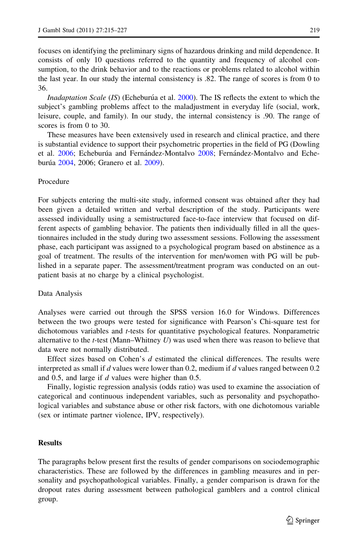focuses on identifying the preliminary signs of hazardous drinking and mild dependence. It consists of only 10 questions referred to the quantity and frequency of alcohol consumption, to the drink behavior and to the reactions or problems related to alcohol within the last year. In our study the internal consistency is .82. The range of scores is from 0 to 36.

*Inadaptation Scale (IS)* (Echeburúa et al.  $2000$ ). The IS reflects the extent to which the subject's gambling problems affect to the maladjustment in everyday life (social, work, leisure, couple, and family). In our study, the internal consistency is .90. The range of scores is from 0 to 30.

These measures have been extensively used in research and clinical practice, and there is substantial evidence to support their psychometric properties in the field of PG (Dowling et al. [2006](#page-10-0); Echeburúa and Fernández-Montalvo [2008](#page-10-0); Fernández-Montalvo and Eche-burúa [2004](#page-10-0), 2006; Granero et al. [2009](#page-10-0)).

# Procedure

For subjects entering the multi-site study, informed consent was obtained after they had been given a detailed written and verbal description of the study. Participants were assessed individually using a semistructured face-to-face interview that focused on different aspects of gambling behavior. The patients then individually filled in all the questionnaires included in the study during two assessment sessions. Following the assessment phase, each participant was assigned to a psychological program based on abstinence as a goal of treatment. The results of the intervention for men/women with PG will be published in a separate paper. The assessment/treatment program was conducted on an outpatient basis at no charge by a clinical psychologist.

### Data Analysis

Analyses were carried out through the SPSS version 16.0 for Windows. Differences between the two groups were tested for significance with Pearson's Chi-square test for dichotomous variables and t-tests for quantitative psychological features. Nonparametric alternative to the  $t$ -test (Mann–Whitney  $U$ ) was used when there was reason to believe that data were not normally distributed.

Effect sizes based on Cohen's d estimated the clinical differences. The results were interpreted as small if  $d$  values were lower than 0.2, medium if  $d$  values ranged between 0.2 and 0.5, and large if d values were higher than 0.5.

Finally, logistic regression analysis (odds ratio) was used to examine the association of categorical and continuous independent variables, such as personality and psychopathological variables and substance abuse or other risk factors, with one dichotomous variable (sex or intimate partner violence, IPV, respectively).

# Results

The paragraphs below present first the results of gender comparisons on sociodemographic characteristics. These are followed by the differences in gambling measures and in personality and psychopathological variables. Finally, a gender comparison is drawn for the dropout rates during assessment between pathological gamblers and a control clinical group.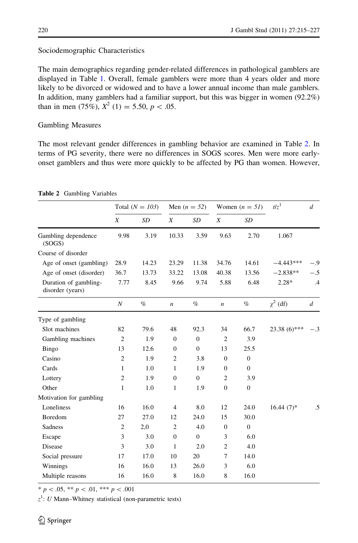### Sociodemographic Characteristics

The main demographics regarding gender-related differences in pathological gamblers are displayed in Table [1](#page-3-0). Overall, female gamblers were more than 4 years older and more likely to be divorced or widowed and to have a lower annual income than male gamblers. In addition, many gamblers had a familiar support, but this was bigger in women (92.2%) than in men (75%),  $X^2$  (1) = 5.50,  $p < .05$ .

### Gambling Measures

The most relevant gender differences in gambling behavior are examined in Table 2. In terms of PG severity, there were no differences in SOGS scores. Men were more earlyonset gamblers and thus were more quickly to be affected by PG than women. However,

|                                           | Total $(N = 103)$ |       | Men $(n = 52)$   |                | Women $(n = 51)$ |                | $t/z^1$        | $\boldsymbol{d}$ |
|-------------------------------------------|-------------------|-------|------------------|----------------|------------------|----------------|----------------|------------------|
|                                           | X                 | SD    | X                | SD             | X                | SD             |                |                  |
| Gambling dependence<br>(SOGS)             | 9.98              | 3.19  | 10.33            | 3.59           | 9.63             | 2.70           | 1.067          |                  |
| Course of disorder                        |                   |       |                  |                |                  |                |                |                  |
| Age of onset (gambling)                   | 28.9              | 14.23 | 23.29            | 11.38          | 34.76            | 14.61          | $-4.443***$    |                  |
| Age of onset (disorder)                   | 36.7              | 13.73 | 33.22            | 13.08          | 40.38            | 13.56          | $-2.838**$     | $-.5$            |
| Duration of gambling-<br>disorder (years) | 7.77              | 8.45  | 9.66             | 9.74           | 5.88             | 6.48           | $2.28*$        | $\cdot$ 4        |
|                                           | $\boldsymbol{N}$  | $\%$  | $\boldsymbol{n}$ | $\%$           | $\boldsymbol{n}$ | $\%$           | $\chi^2$ (df)  | $\boldsymbol{d}$ |
| Type of gambling                          |                   |       |                  |                |                  |                |                |                  |
| Slot machines                             | 82                | 79.6  | 48               | 92.3           | 34               | 66.7           | $23.38(6)$ *** | - 3              |
| Gambling machines                         | $\overline{2}$    | 1.9   | $\mathbf{0}$     | $\mathbf{0}$   | $\overline{2}$   | 3.9            |                |                  |
| Bingo                                     | 13                | 12.6  | $\mathbf{0}$     | $\overline{0}$ | 13               | 25.5           |                |                  |
| Casino                                    | $\mathfrak{2}$    | 1.9   | $\mathfrak{2}$   | 3.8            | $\mathbf{0}$     | $\mathbf{0}$   |                |                  |
| Cards                                     | 1                 | 1.0   | 1                | 1.9            | $\mathbf{0}$     | $\mathbf{0}$   |                |                  |
| Lottery                                   | $\overline{c}$    | 1.9   | $\boldsymbol{0}$ | $\overline{0}$ | $\overline{c}$   | 3.9            |                |                  |
| Other                                     | $\mathbf{1}$      | 1.0   | 1                | 1.9            | $\overline{0}$   | $\overline{0}$ |                |                  |
| Motivation for gambling                   |                   |       |                  |                |                  |                |                |                  |
| Loneliness                                | 16                | 16.0  | $\overline{4}$   | 8.0            | 12               | 24.0           | $16.44(7)$ *   | .5               |
| Boredom                                   | 27                | 27.0  | 12               | 24.0           | 15               | 30.0           |                |                  |
| Sadness                                   | $\overline{c}$    | 2,0   | $\overline{2}$   | 4.0            | $\mathbf{0}$     | $\Omega$       |                |                  |
| Escape                                    | 3                 | 3.0   | $\mathbf{0}$     | $\mathbf{0}$   | 3                | 6.0            |                |                  |
| Disease                                   | 3                 | 3.0   | 1                | 2.0            | $\mathfrak{2}$   | 4.0            |                |                  |
| Social pressure                           | 17                | 17.0  | 10               | 20             | $\overline{7}$   | 14.0           |                |                  |
| Winnings                                  | 16                | 16.0  | 13               | 26.0           | 3                | 6.0            |                |                  |
| Multiple reasons                          | 16                | 16.0  | 8                | 16.0           | 8                | 16.0           |                |                  |

Table 2 Gambling Variables

\*  $p$  < .05, \*\*  $p$  < .01, \*\*\*  $p$  < .001

 $z<sup>1</sup>$ : *U* Mann–Whitney statistical (non-parametric tests)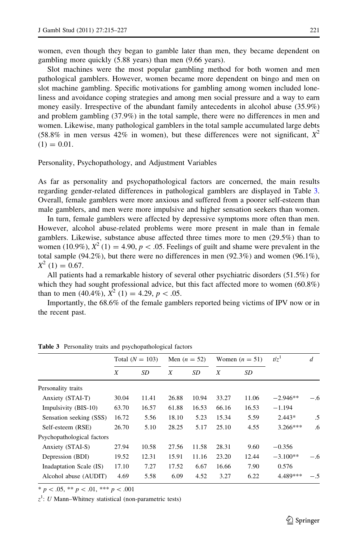women, even though they began to gamble later than men, they became dependent on gambling more quickly (5.88 years) than men (9.66 years).

Slot machines were the most popular gambling method for both women and men pathological gamblers. However, women became more dependent on bingo and men on slot machine gambling. Specific motivations for gambling among women included loneliness and avoidance coping strategies and among men social pressure and a way to earn money easily. Irrespective of the abundant family antecedents in alcohol abuse (35.9%) and problem gambling (37.9%) in the total sample, there were no differences in men and women. Likewise, many pathological gamblers in the total sample accumulated large debts (58.8% in men versus 42% in women), but these differences were not significant,  $X^2$  $(1) = 0.01$ .

Personality, Psychopathology, and Adjustment Variables

As far as personality and psychopathological factors are concerned, the main results regarding gender-related differences in pathological gamblers are displayed in Table 3. Overall, female gamblers were more anxious and suffered from a poorer self-esteem than male gamblers, and men were more impulsive and higher sensation seekers than women.

In turn, female gamblers were affected by depressive symptoms more often than men. However, alcohol abuse-related problems were more present in male than in female gamblers. Likewise, substance abuse affected three times more to men (29.5%) than to women (10.9%),  $X^2$  (1) = 4.90, p < .05. Feelings of guilt and shame were prevalent in the total sample (94.2%), but there were no differences in men (92.3%) and women (96.1%),  $X^2$  (1) = 0.67.

All patients had a remarkable history of several other psychiatric disorders (51.5%) for which they had sought professional advice, but this fact affected more to women (60.8%) than to men (40.4%),  $X^2$  (1) = 4.29,  $p < .05$ .

Importantly, the 68.6% of the female gamblers reported being victims of IPV now or in the recent past.

|                            | Total $(N = 103)$ |       | Men $(n = 52)$ |       | Women $(n = 51)$ |       | $t/z^1$    | $\boldsymbol{d}$ |
|----------------------------|-------------------|-------|----------------|-------|------------------|-------|------------|------------------|
|                            | X                 | SD    | X              | SD    | X                | SD    |            |                  |
| Personality traits         |                   |       |                |       |                  |       |            |                  |
| Anxiety (STAI-T)           | 30.04             | 11.41 | 26.88          | 10.94 | 33.27            | 11.06 | $-2.946**$ | $-.6$            |
| Impulsivity (BIS-10)       | 63.70             | 16.57 | 61.88          | 16.53 | 66.16            | 16.53 | $-1.194$   |                  |
| Sensation seeking (SSS)    | 16.72             | 5.56  | 18.10          | 5.23  | 15.34            | 5.59  | $2.443*$   | .5               |
| Self-esteem (RSE)          | 26.70             | 5.10  | 28.25          | 5.17  | 25.10            | 4.55  | $3.266***$ | .6               |
| Psychopathological factors |                   |       |                |       |                  |       |            |                  |
| Anxiety (STAI-S)           | 27.94             | 10.58 | 27.56          | 11.58 | 28.31            | 9.60  | $-0.356$   |                  |
| Depression (BDI)           | 19.52             | 12.31 | 15.91          | 11.16 | 23.20            | 12.44 | $-3.100**$ | $-.6$            |
| Inadaptation Scale (IS)    | 17.10             | 7.27  | 17.52          | 6.67  | 16.66            | 7.90  | 0.576      |                  |
| Alcohol abuse (AUDIT)      | 4.69              | 5.58  | 6.09           | 4.52  | 3.27             | 6.22  | 4.489***   | $-.5$            |

Table 3 Personality traits and psychopathological factors

 $* p < .05, ** p < .01, ** p < .001$ 

 $z<sup>1</sup>$ : *U* Mann–Whitney statistical (non-parametric tests)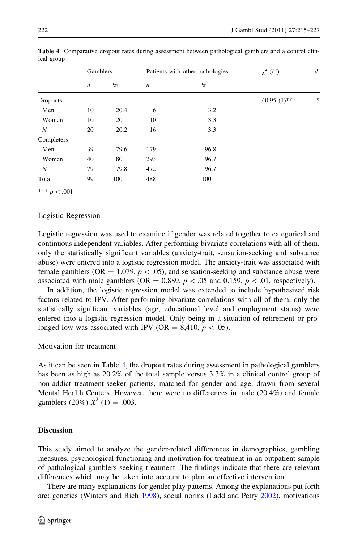|                 | Gamblers         |      |                  | Patients with other pathologies | $\chi^2$ (df)   | $\boldsymbol{d}$ |  |
|-----------------|------------------|------|------------------|---------------------------------|-----------------|------------------|--|
|                 | $\boldsymbol{n}$ | %    | $\boldsymbol{n}$ | $\%$                            |                 |                  |  |
| <b>Dropouts</b> |                  |      |                  |                                 | 40.95 $(1)$ *** | .5               |  |
| Men             | 10               | 20.4 | 6                | 3.2                             |                 |                  |  |
| Women           | 10               | 20   | 10               | 3.3                             |                 |                  |  |
| N               | 20               | 20.2 | 16               | 3.3                             |                 |                  |  |
| Completers      |                  |      |                  |                                 |                 |                  |  |
| Men             | 39               | 79.6 | 179              | 96.8                            |                 |                  |  |
| Women           | 40               | 80   | 293              | 96.7                            |                 |                  |  |
| N               | 79               | 79.8 | 472              | 96.7                            |                 |                  |  |
| Total           | 99               | 100  | 488              | 100                             |                 |                  |  |

Table 4 Comparative dropout rates during assessment between pathological gamblers and a control clinical group

\*\*\*  $p < .001$ 

### Logistic Regression

Logistic regression was used to examine if gender was related together to categorical and continuous independent variables. After performing bivariate correlations with all of them, only the statistically significant variables (anxiety-trait, sensation-seeking and substance abuse) were entered into a logistic regression model. The anxiety-trait was associated with female gamblers (OR = 1.079,  $p < .05$ ), and sensation-seeking and substance abuse were associated with male gamblers (OR = 0.889,  $p$  < .05 and 0.159,  $p$  < .01, respectively).

In addition, the logistic regression model was extended to include hypothesized risk factors related to IPV. After performing bivariate correlations with all of them, only the statistically significant variables (age, educational level and employment status) were entered into a logistic regression model. Only being in a situation of retirement or prolonged low was associated with IPV (OR = 8,410,  $p < .05$ ).

Motivation for treatment

As it can be seen in Table 4, the dropout rates during assessment in pathological gamblers has been as high as  $20.2\%$  of the total sample versus 3.3% in a clinical control group of non-addict treatment-seeker patients, matched for gender and age, drawn from several Mental Health Centers. However, there were no differences in male (20.4%) and female gamblers (20%)  $X^2$  (1) = .003.

### **Discussion**

This study aimed to analyze the gender-related differences in demographics, gambling measures, psychological functioning and motivation for treatment in an outpatient sample of pathological gamblers seeking treatment. The findings indicate that there are relevant differences which may be taken into account to plan an effective intervention.

There are many explanations for gender play patterns. Among the explanations put forth are: genetics (Winters and Rich [1998](#page-11-0)), social norms (Ladd and Petry [2002\)](#page-11-0), motivations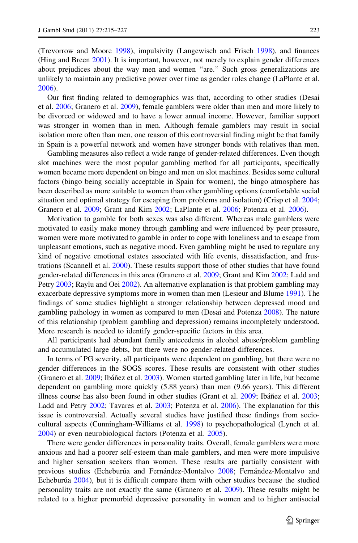(Trevorrow and Moore [1998](#page-11-0)), impulsivity (Langewisch and Frisch [1998](#page-11-0)), and finances (Hing and Breen [2001](#page-10-0)). It is important, however, not merely to explain gender differences about prejudices about the way men and women "are." Such gross generalizations are unlikely to maintain any predictive power over time as gender roles change (LaPlante et al. [2006\)](#page-11-0).

Our first finding related to demographics was that, according to other studies (Desai et al. [2006](#page-10-0); Granero et al. [2009\)](#page-10-0), female gamblers were older than men and more likely to be divorced or widowed and to have a lower annual income. However, familiar support was stronger in women than in men. Although female gamblers may result in social isolation more often than men, one reason of this controversial finding might be that family in Spain is a powerful network and women have stronger bonds with relatives than men.

Gambling measures also reflect a wide range of gender-related differences. Even though slot machines were the most popular gambling method for all participants, specifically women became more dependent on bingo and men on slot machines. Besides some cultural factors (bingo being socially acceptable in Spain for women), the bingo atmosphere has been described as more suitable to women than other gambling options (comfortable social situation and optimal strategy for escaping from problems and isolation) (Crisp et al. [2004;](#page-10-0) Granero et al. [2009](#page-10-0); Grant and Kim [2002;](#page-10-0) LaPlante et al. [2006;](#page-11-0) Potenza et al. [2006](#page-11-0)).

Motivation to gamble for both sexes was also different. Whereas male gamblers were motivated to easily make money through gambling and were influenced by peer pressure, women were more motivated to gamble in order to cope with loneliness and to escape from unpleasant emotions, such as negative mood. Even gambling might be used to regulate any kind of negative emotional estates associated with life events, dissatisfaction, and frustrations (Scannell et al. [2000\)](#page-11-0). These results support those of other studies that have found gender-related differences in this area (Granero et al. [2009;](#page-10-0) Grant and Kim [2002](#page-10-0); Ladd and Petry [2003;](#page-11-0) Raylu and Oei [2002\)](#page-11-0). An alternative explanation is that problem gambling may exacerbate depressive symptoms more in women than men (Lesieur and Blume [1991\)](#page-11-0). The findings of some studies highlight a stronger relationship between depressed mood and gambling pathology in women as compared to men (Desai and Potenza [2008\)](#page-10-0). The nature of this relationship (problem gambling and depression) remains incompletely understood. More research is needed to identify gender-specific factors in this area.

All participants had abundant family antecedents in alcohol abuse/problem gambling and accumulated large debts, but there were no gender-related differences.

In terms of PG severity, all participants were dependent on gambling, but there were no gender differences in the SOGS scores. These results are consistent with other studies (Granero et al. [2009](#page-10-0); Ibáñez et al. [2003\)](#page-10-0). Women started gambling later in life, but became dependent on gambling more quickly (5.88 years) than men (9.66 years). This different illness course has also been found in other studies (Grant et al. [2009](#page-10-0); Ibáñez et al. [2003;](#page-10-0) Ladd and Petry [2002;](#page-11-0) Tavares et al. [2003](#page-11-0); Potenza et al. [2006](#page-11-0)). The explanation for this issue is controversial. Actually several studies have justified these findings from sociocultural aspects (Cunningham-Williams et al. [1998\)](#page-10-0) to psychopathological (Lynch et al. [2004\)](#page-11-0) or even neurobiological factors (Potenza et al. [2005\)](#page-11-0).

There were gender differences in personality traits. Overall, female gamblers were more anxious and had a poorer self-esteem than male gamblers, and men were more impulsive and higher sensation seekers than women. These results are partially consistent with previous studies (Echeburúa and Fernández-Montalvo [2008;](#page-10-0) Fernández-Montalvo and Echeburúa [2004\)](#page-10-0), but it is difficult compare them with other studies because the studied personality traits are not exactly the same (Granero et al. [2009\)](#page-10-0). These results might be related to a higher premorbid depressive personality in women and to higher antisocial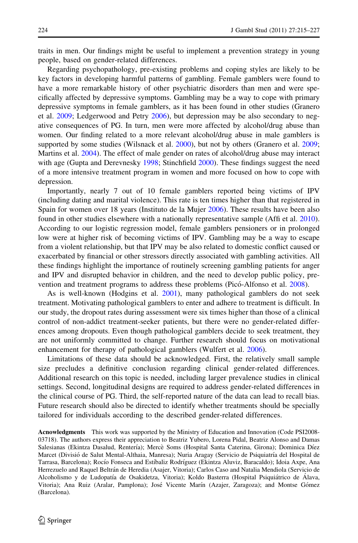traits in men. Our findings might be useful to implement a prevention strategy in young people, based on gender-related differences.

Regarding psychopathology, pre-existing problems and coping styles are likely to be key factors in developing harmful patterns of gambling. Female gamblers were found to have a more remarkable history of other psychiatric disorders than men and were specifically affected by depressive symptoms. Gambling may be a way to cope with primary depressive symptoms in female gamblers, as it has been found in other studies (Granero et al. [2009](#page-10-0); Ledgerwood and Petry [2006\)](#page-11-0), but depression may be also secondary to negative consequences of PG. In turn, men were more affected by alcohol/drug abuse than women. Our finding related to a more relevant alcohol/drug abuse in male gamblers is supported by some studies (Wilsnack et al. [2000\)](#page-11-0), but not by others (Granero et al. [2009;](#page-10-0) Martins et al. [2004\)](#page-11-0). The effect of male gender on rates of alcohol/drug abuse may interact with age (Gupta and Derevnesky [1998](#page-10-0); Stinchfield [2000\)](#page-11-0). These findings suggest the need of a more intensive treatment program in women and more focused on how to cope with depression.

Importantly, nearly 7 out of 10 female gamblers reported being victims of IPV (including dating and marital violence). This rate is ten times higher than that registered in Spain for women over 18 years (Instituto de la Mujer [2006\)](#page-11-0). These results have been also found in other studies elsewhere with a nationally representative sample (Affi et al. [2010](#page-10-0)). According to our logistic regression model, female gamblers pensioners or in prolonged low were at higher risk of becoming victims of IPV. Gambling may be a way to escape from a violent relationship, but that IPV may be also related to domestic conflict caused or exacerbated by financial or other stressors directly associated with gambling activities. All these findings highlight the importance of routinely screening gambling patients for anger and IPV and disrupted behavior in children, and the need to develop public policy, prevention and treatment programs to address these problems (Pico´-Alfonso et al. [2008\)](#page-11-0).

As is well-known (Hodgins et al. [2001](#page-10-0)), many pathological gamblers do not seek treatment. Motivating pathological gamblers to enter and adhere to treatment is difficult. In our study, the dropout rates during assessment were six times higher than those of a clinical control of non-addict treatment-seeker patients, but there were no gender-related differences among dropouts. Even though pathological gamblers decide to seek treatment, they are not uniformly committed to change. Further research should focus on motivational enhancement for therapy of pathological gamblers (Wulfert et al. [2006](#page-12-0)).

Limitations of these data should be acknowledged. First, the relatively small sample size precludes a definitive conclusion regarding clinical gender-related differences. Additional research on this topic is needed, including larger prevalence studies in clinical settings. Second, longitudinal designs are required to address gender-related differences in the clinical course of PG. Third, the self-reported nature of the data can lead to recall bias. Future research should also be directed to identify whether treatments should be specially tailored for individuals according to the described gender-related differences.

Acnowledgments This work was supported by the Ministry of Education and Innovation (Code PSI2008- 03718). The authors express their appreciation to Beatriz Yubero, Lorena Pidal, Beatriz Alonso and Damas Salesianas (Ekintza Dasalud, Rentería); Mercè Soms (Hospital Santa Caterina, Girona); Dominica Díez Marcet (Divisió de Salut Mental-Althaia, Manresa); Nuria Aragay (Servicio de Psiquiatría del Hospital de Tarrasa, Barcelona); Rocío Fonseca and Estíbaliz Rodríguez (Ekintza Aluviz, Baracaldo); Idoia Axpe, Ana Herrezuelo and Raquel Beltrán de Heredia (Asajer, Vitoria); Carlos Caso and Natalia Mendiola (Servicio de Alcoholismo y de Ludopatía de Osakidetza, Vitoria); Koldo Basterra (Hospital Psiquiátrico de Álava, Vitoria); Ana Ruiz (Aralar, Pamplona); José Vicente Marín (Azajer, Zaragoza); and Montse Gómez (Barcelona).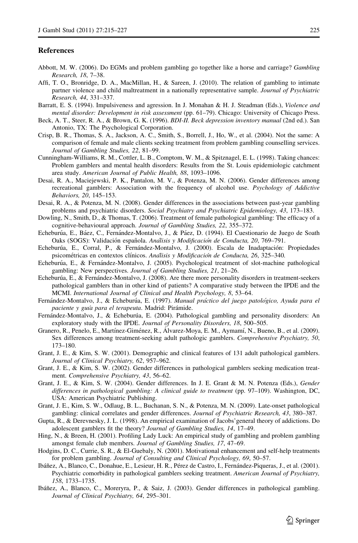### <span id="page-10-0"></span>**References**

- Abbott, M. W. (2006). Do EGMs and problem gambling go together like a horse and carriage? Gambling Research, 18, 7–38.
- Affi, T. O., Bronridge, D. A., MacMillan, H., & Sareen, J. (2010). The relation of gambling to intimate partner violence and child maltreatment in a nationally representative sample. Journal of Psychiatric Research, 44, 331–337.
- Barratt, E. S. (1994). Impulsiveness and agression. In J. Monahan & H. J. Steadman (Eds.), Violence and mental disorder: Development in risk assessment (pp. 61–79). Chicago: University of Chicago Press.
- Beck, A. T., Steer, R. A., & Brown, G. K. (1996). BDI-II. Beck depression inventory manual (2nd ed.). San Antonio, TX: The Psychological Corporation.
- Crisp, B. R., Thomas, S. A., Jackson, A. C., Smith, S., Borrell, J., Ho, W., et al. (2004). Not the same: A comparison of female and male clients seeking treatment from problem gambling counselling services. Journal of Gambling Studies, 22, 81–99.
- Cunningham-Williams, R. M., Cottler, L. B., Comptom, W. M., & Spitznagel, E. L. (1998). Taking chances: Problem gamblers and mental health disorders: Results from the St. Louis epidemiologic catchment area study. American Journal of Public Health, 88, 1093–1096.
- Desai, R. A., Maciejewski, P. K., Pantalon, M. V., & Potenza, M. N. (2006). Gender differences among recreational gamblers: Association with the frequency of alcohol use. Psychology of Addictive Behaviors, 20, 145–153.
- Desai, R. A., & Potenza, M. N. (2008). Gender differences in the associations between past-year gambling problems and psychiatric disorders. Social Psychiatry and Psychiatric Epidemiology, 43, 173–183.
- Dowling, N., Smith, D., & Thomas, T. (2006). Treatment of female pathological gambling: The efficacy of a cognitive-behavioural approach. Journal of Gambling Studies, 22, 355–372.
- Echeburúa, E., Báez, C., Fernández-Montalvo, J., & Páez, D. (1994). El Cuestionario de Juego de Soath Oaks (SOGS): Validación española. Anaílisis y Modificación de Conducta, 20, 769–791.
- Echeburúa, E., Corral, P., & Fernández-Montalvo, J. (2000). Escala de Inadaptación: Propiedades psicométricas en contextos clínicos. Analisis y Modificación de Conducta, 26, 325-340.
- Echeburúa, E., & Fernández-Montalvo, J. (2005). Psychological treatment of slot-machine pathological gambling: New perspectives. Journal of Gambling Studies, 21, 21–26.
- Echeburúa, E., & Fernández-Montalvo, J. (2008). Are there more personality disorders in treatment-seekers pathological gamblers than in other kind of patients? A comparative study between the IPDE and the MCMI. International Journal of Clinical and Health Psychology, 8, 53–64.
- Fernández-Montalvo, J., & Echeburúa, E. (1997). Manual práctico del juego patológico, Ayuda para el paciente y guía para el terapeuta. Madrid: Pirámide.
- Fernández-Montalvo, J., & Echeburúa, E. (2004). Pathological gambling and personality disorders: An exploratory study with the IPDE. Journal of Personality Disorders, 18, 500–505.
- Granero, R., Penelo, E., Martínez-Giménez, R., Álvarez-Moya, E. M., Aymamí, N., Bueno, B., et al. (2009). Sex differences among treatment-seeking adult pathologic gamblers. Comprehensive Psychiatry, 50, 173–180.
- Grant, J. E., & Kim, S. W. (2001). Demographic and clinical features of 131 adult pathological gamblers. Journal of Clinical Psychiatry, 62, 957–962.
- Grant, J. E., & Kim, S. W. (2002). Gender differences in pathological gamblers seeking medication treatment. Comprehensive Psychiatry, 43, 56–62.
- Grant, J. E., & Kim, S. W. (2004). Gender differences. In J. E. Grant & M. N. Potenza (Eds.), Gender differences in pathological gambling: A clinical guide to treatment (pp. 97–109). Washington, DC, USA: American Psychiatric Publishing.
- Grant, J. E., Kim, S. W., Odlaug, B. L., Buchanan, S. N., & Potenza, M. N. (2009). Late-onset pathological gambling: clinical correlates and gender differences. Journal of Psychiatric Research, 43, 380–387.
- Gupta, R., & Derevnesky, J. L. (1998). An empirical examination of Jacobs'general theory of addictions. Do adolescent gamblers fit the theory? Journal of Gambling Studies, 14, 17–49.
- Hing, N., & Breen, H. (2001). Profiling Lady Luck: An empirical study of gambling and problem gambling amongst female club members. Journal of Gambling Studies, 17, 47–69.
- Hodgins, D. C., Currie, S. R., & El-Guebaly, N. (2001). Motivational enhancement and self-help treatments for problem gambling. Journal of Consulting and Clinical Psychology, 69, 50–57.
- Ibáñez, A., Blanco, C., Donahue, E., Lesieur, H. R., Pérez de Castro, I., Fernández-Piqueras, J., et al. (2001). Psychiatric comorbidity in pathological gamblers seeking treatment. American Journal of Psychiatry, 158, 1733–1735.
- Ibáñez, A., Blanco, C., Moreryra, P., & Saiz, J. (2003). Gender differences in pathological gambling. Journal of Clinical Psychiatry, 64, 295–301.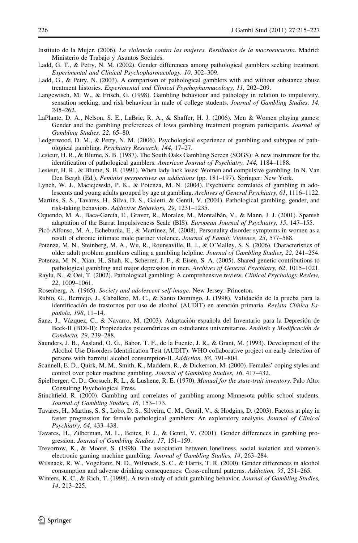- <span id="page-11-0"></span>Instituto de la Mujer. (2006). La violencia contra las mujeres. Resultados de la macroencuesta. Madrid: Ministerio de Trabajo y Asuntos Sociales.
- Ladd, G. T., & Petry, N. M. (2002). Gender differences among pathological gamblers seeking treatment. Experimental and Clinical Psychopharmacology, 10, 302–309.
- Ladd, G., & Petry, N. (2003). A comparison of pathological gamblers with and without substance abuse treatment histories. Experimental and Clinical Psychopharmacology, 11, 202–209.
- Langewisch, M. W., & Frisch, G. (1998). Gambling behaviour and pathology in relation to impulsivity, sensation seeking, and risk behaviour in male of college students. Journal of Gambling Studies, 14, 245–262.
- LaPlante, D. A., Nelson, S. E., LaBrie, R. A., & Shaffer, H. J. (2006). Men & Women playing games: Gender and the gambling preferences of Iowa gambling treatment program participants. Journal of Gambling Studies, 22, 65–80.
- Ledgerwood, D. M., & Petry, N. M. (2006). Psychological experience of gambling and subtypes of pathological gambling. Psychiatry Research, 144, 17–27.
- Lesieur, H. R., & Blume, S. B. (1987). The South Oaks Gambling Screen (SOGS): A new instrument for the identification of pathological gamblers. American Journal of Psychiatry, 144, 1184–1188.
- Lesieur, H. R., & Blume, S. B. (1991). When lady luck loses: Women and compulsive gambling. In N. Van Den Bergh (Ed.), Feminist perspectives on addictions (pp. 181–197). Springer: New York.
- Lynch, W. J., Maciejewski, P. K., & Potenza, M. N. (2004). Psychiatric correlates of gambling in adolescents and young adults grouped by age at gambling. Archives of General Psychiatry, 61, 1116–1122.
- Martins, S. S., Tavares, H., Silva, D. S., Galetti, & Gentil, V. (2004). Pathological gambling, gender, and risk-taking behaviors. Addictive Behaviors, 29, 1231–1235.
- Oquendo, M. A., Baca-García, E., Graver, R., Morales, M., Montalbán, V., & Mann, J. J. (2001). Spanish adaptation of the Barrat Impulsiveness Scale (BIS). European Journal of Psychiatry, 15, 147–155.
- Picó-Alfonso, M. A., Echeburúa, E., & Martínez, M. (2008). Personality disorder symptoms in women as a result of chronic intimate male partner violence. Journal of Family Violence, 23, 577–588.
- Potenza, M. N., Steinberg, M. A., Wu, R., Rounsaville, B. J., & O'Malley, S. S. (2006). Characteristics of older adult problem gamblers calling a gambling helpline. Journal of Gambling Studies, 22, 241–254.
- Potenza, M. N., Xian, H., Shah, K., Scherrer, J. F., & Eisen, S. A. (2005). Shared genetic contributions to pathological gambling and major depression in men. Archives of General Psychiatry, 62, 1015–1021.
- Raylu, N., & Oei, T. (2002). Pathological gambling: A comprehensive review. Clinical Psychology Review, 22, 1009–1061.
- Rosenberg, A. (1965). Society and adolescent self-image. New Jersey: Princeton.
- Rubio, G., Bermejo, J., Caballero, M. C., & Santo Domingo, J. (1998). Validación de la prueba para la identificación de trastornos por uso de alcohol (AUDIT) en atención primaria. Revista Clínica Española, 198, 11-14.
- Sanz, J., Vázquez, C., & Navarro, M. (2003). Adaptación española del Inventario para la Depresión de Beck-II (BDI-II): Propiedades psicométricas en estudiantes universitarios. Anaîlisis y Modificación de Conducta, 29, 239–288.
- Saunders, J. B., Aasland, O. G., Babor, T. F., de la Fuente, J. R., & Grant, M. (1993). Development of the Alcohol Use Disorders Identification Test (AUDIT): WHO collaborative project on early detection of persons with harmful alcohol consumption-II. Addiction, 88, 791–804.
- Scannell, E. D., Quirk, M. M., Smith, K., Maddern, R., & Dickerson, M. (2000). Females' coping styles and control over poker machine gambling. Journal of Gambling Studies, 16, 417–432.
- Spielberger, C. D., Gorsuch, R. L., & Lushene, R. E. (1970). *Manual for the state-trait inventory*. Palo Alto: Consulting Psychological Press.
- Stinchfield, R. (2000). Gambling and correlates of gambling among Minnesota public school students. Journal of Gambling Studies, 16, 153–173.
- Tavares, H., Martins, S. S., Lobo, D. S., Silveira, C. M., Gentil, V., & Hodgins, D. (2003). Factors at play in faster progression for female pathological gamblers: An exploratory analysis. Journal of Clinical Psychiatry, 64, 433–438.
- Tavares, H., Zilberman, M. L., Beites, F. J., & Gentil, V. (2001). Gender differences in gambling progression. Journal of Gambling Studies, 17, 151–159.
- Trevorrow, K., & Moore, S. (1998). The association between loneliness, social isolation and women's electronic gaming machine gambling. Journal of Gambling Studies, 14, 263–284.
- Wilsnack, R. W., Vogeltanz, N. D., Wilsnack, S. C., & Harris, T. R. (2000). Gender differences in alcohol consumption and adverse drinking consequences: Cross-cultural patterns. Addiction, 95, 251–265.
- Winters, K. C., & Rich, T. (1998). A twin study of adult gambling behavior. Journal of Gambling Studies, 14, 213–225.